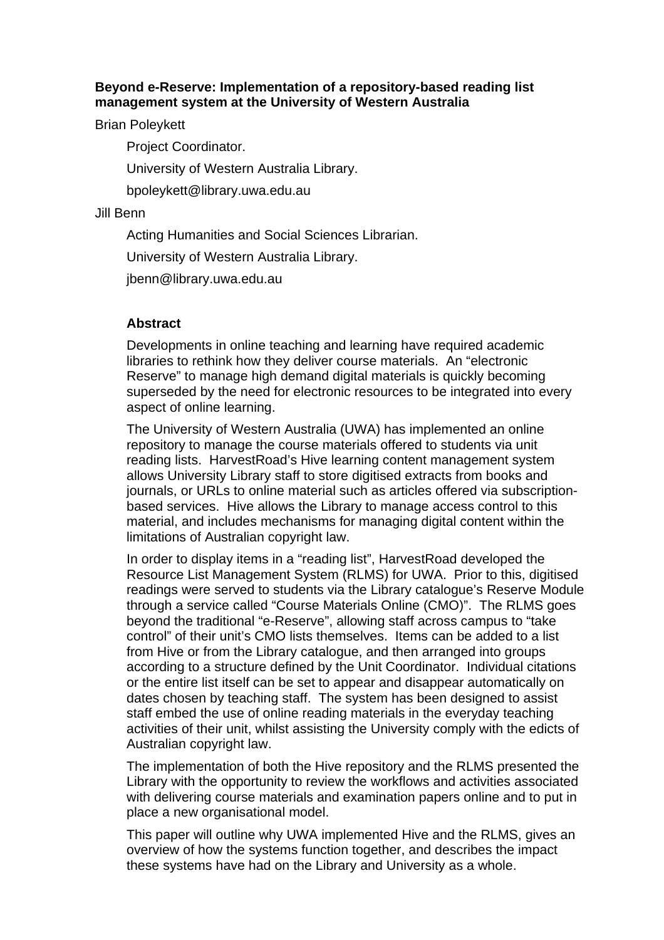#### **Beyond e-Reserve: Implementation of a repository-based reading list management system at the University of Western Australia**

Brian Poleykett

Project Coordinator.

University of Western Australia Library.

bpoleykett@library.uwa.edu.au

#### Jill Benn

Acting Humanities and Social Sciences Librarian.

University of Western Australia Library.

jbenn@library.uwa.edu.au

#### **Abstract**

Developments in online teaching and learning have required academic libraries to rethink how they deliver course materials. An "electronic Reserve" to manage high demand digital materials is quickly becoming superseded by the need for electronic resources to be integrated into every aspect of online learning.

The University of Western Australia (UWA) has implemented an online repository to manage the course materials offered to students via unit reading lists. HarvestRoad's Hive learning content management system allows University Library staff to store digitised extracts from books and journals, or URLs to online material such as articles offered via subscriptionbased services. Hive allows the Library to manage access control to this material, and includes mechanisms for managing digital content within the limitations of Australian copyright law.

In order to display items in a "reading list", HarvestRoad developed the Resource List Management System (RLMS) for UWA. Prior to this, digitised readings were served to students via the Library catalogue's Reserve Module through a service called "Course Materials Online (CMO)". The RLMS goes beyond the traditional "e-Reserve", allowing staff across campus to "take control" of their unit's CMO lists themselves. Items can be added to a list from Hive or from the Library catalogue, and then arranged into groups according to a structure defined by the Unit Coordinator. Individual citations or the entire list itself can be set to appear and disappear automatically on dates chosen by teaching staff. The system has been designed to assist staff embed the use of online reading materials in the everyday teaching activities of their unit, whilst assisting the University comply with the edicts of Australian copyright law.

The implementation of both the Hive repository and the RLMS presented the Library with the opportunity to review the workflows and activities associated with delivering course materials and examination papers online and to put in place a new organisational model.

This paper will outline why UWA implemented Hive and the RLMS, gives an overview of how the systems function together, and describes the impact these systems have had on the Library and University as a whole.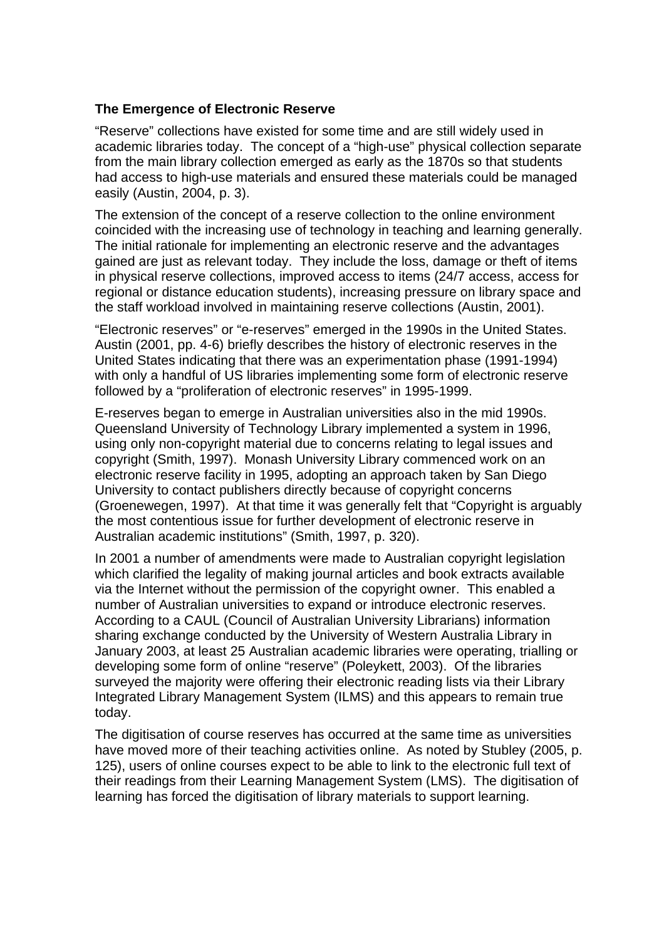#### **The Emergence of Electronic Reserve**

"Reserve" collections have existed for some time and are still widely used in academic libraries today. The concept of a "high-use" physical collection separate from the main library collection emerged as early as the 1870s so that students had access to high-use materials and ensured these materials could be managed easily (Austin, 2004, p. 3).

The extension of the concept of a reserve collection to the online environment coincided with the increasing use of technology in teaching and learning generally. The initial rationale for implementing an electronic reserve and the advantages gained are just as relevant today. They include the loss, damage or theft of items in physical reserve collections, improved access to items (24/7 access, access for regional or distance education students), increasing pressure on library space and the staff workload involved in maintaining reserve collections (Austin, 2001).

"Electronic reserves" or "e-reserves" emerged in the 1990s in the United States. Austin (2001, pp. 4-6) briefly describes the history of electronic reserves in the United States indicating that there was an experimentation phase (1991-1994) with only a handful of US libraries implementing some form of electronic reserve followed by a "proliferation of electronic reserves" in 1995-1999.

E-reserves began to emerge in Australian universities also in the mid 1990s. Queensland University of Technology Library implemented a system in 1996, using only non-copyright material due to concerns relating to legal issues and copyright (Smith, 1997). Monash University Library commenced work on an electronic reserve facility in 1995, adopting an approach taken by San Diego University to contact publishers directly because of copyright concerns (Groenewegen, 1997). At that time it was generally felt that "Copyright is arguably the most contentious issue for further development of electronic reserve in Australian academic institutions" (Smith, 1997, p. 320).

In 2001 a number of amendments were made to Australian copyright legislation which clarified the legality of making journal articles and book extracts available via the Internet without the permission of the copyright owner. This enabled a number of Australian universities to expand or introduce electronic reserves. According to a CAUL (Council of Australian University Librarians) information sharing exchange conducted by the University of Western Australia Library in January 2003, at least 25 Australian academic libraries were operating, trialling or developing some form of online "reserve" (Poleykett, 2003). Of the libraries surveyed the majority were offering their electronic reading lists via their Library Integrated Library Management System (ILMS) and this appears to remain true today.

The digitisation of course reserves has occurred at the same time as universities have moved more of their teaching activities online. As noted by Stubley (2005, p. 125), users of online courses expect to be able to link to the electronic full text of their readings from their Learning Management System (LMS). The digitisation of learning has forced the digitisation of library materials to support learning.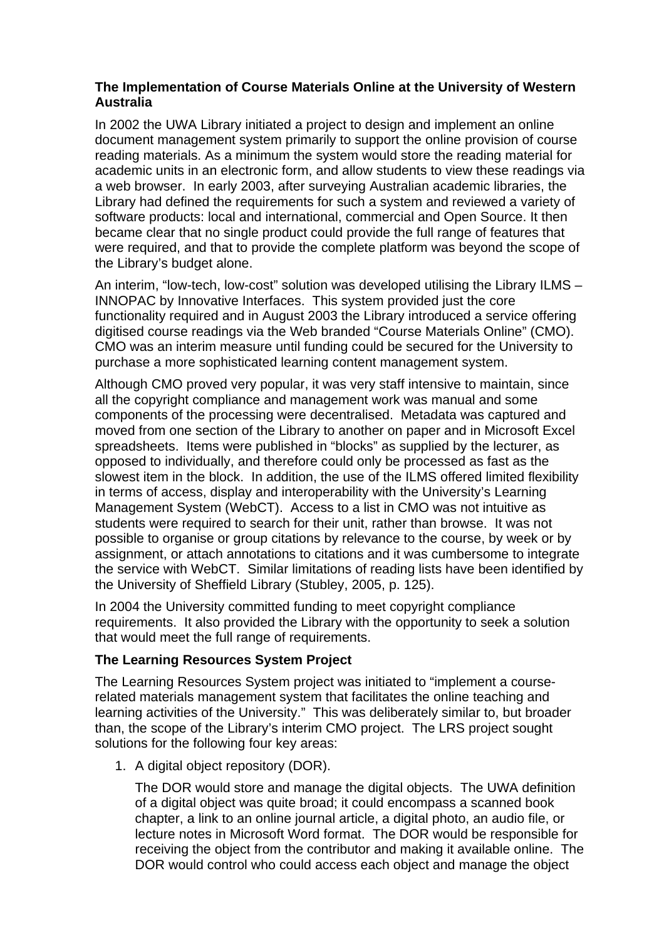### **The Implementation of Course Materials Online at the University of Western Australia**

In 2002 the UWA Library initiated a project to design and implement an online document management system primarily to support the online provision of course reading materials. As a minimum the system would store the reading material for academic units in an electronic form, and allow students to view these readings via a web browser. In early 2003, after surveying Australian academic libraries, the Library had defined the requirements for such a system and reviewed a variety of software products: local and international, commercial and Open Source. It then became clear that no single product could provide the full range of features that were required, and that to provide the complete platform was beyond the scope of the Library's budget alone.

An interim, "low-tech, low-cost" solution was developed utilising the Library ILMS – INNOPAC by Innovative Interfaces. This system provided just the core functionality required and in August 2003 the Library introduced a service offering digitised course readings via the Web branded "Course Materials Online" (CMO). CMO was an interim measure until funding could be secured for the University to purchase a more sophisticated learning content management system.

Although CMO proved very popular, it was very staff intensive to maintain, since all the copyright compliance and management work was manual and some components of the processing were decentralised. Metadata was captured and moved from one section of the Library to another on paper and in Microsoft Excel spreadsheets. Items were published in "blocks" as supplied by the lecturer, as opposed to individually, and therefore could only be processed as fast as the slowest item in the block. In addition, the use of the ILMS offered limited flexibility in terms of access, display and interoperability with the University's Learning Management System (WebCT). Access to a list in CMO was not intuitive as students were required to search for their unit, rather than browse. It was not possible to organise or group citations by relevance to the course, by week or by assignment, or attach annotations to citations and it was cumbersome to integrate the service with WebCT. Similar limitations of reading lists have been identified by the University of Sheffield Library (Stubley, 2005, p. 125).

In 2004 the University committed funding to meet copyright compliance requirements. It also provided the Library with the opportunity to seek a solution that would meet the full range of requirements.

#### **The Learning Resources System Project**

The Learning Resources System project was initiated to "implement a courserelated materials management system that facilitates the online teaching and learning activities of the University." This was deliberately similar to, but broader than, the scope of the Library's interim CMO project. The LRS project sought solutions for the following four key areas:

1. A digital object repository (DOR).

The DOR would store and manage the digital objects. The UWA definition of a digital object was quite broad; it could encompass a scanned book chapter, a link to an online journal article, a digital photo, an audio file, or lecture notes in Microsoft Word format. The DOR would be responsible for receiving the object from the contributor and making it available online. The DOR would control who could access each object and manage the object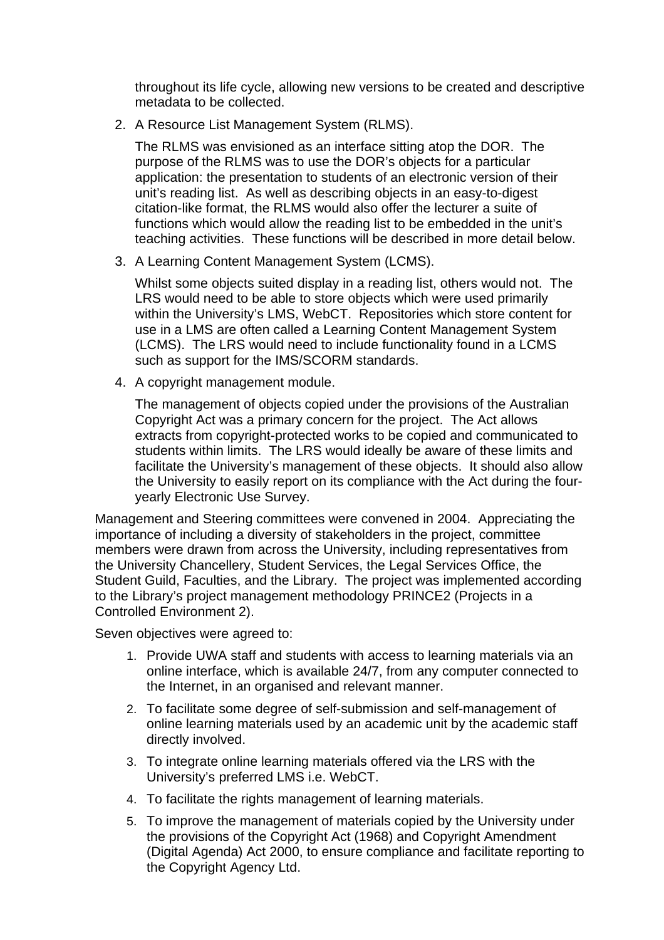throughout its life cycle, allowing new versions to be created and descriptive metadata to be collected.

2. A Resource List Management System (RLMS).

The RLMS was envisioned as an interface sitting atop the DOR. The purpose of the RLMS was to use the DOR's objects for a particular application: the presentation to students of an electronic version of their unit's reading list. As well as describing objects in an easy-to-digest citation-like format, the RLMS would also offer the lecturer a suite of functions which would allow the reading list to be embedded in the unit's teaching activities. These functions will be described in more detail below.

3. A Learning Content Management System (LCMS).

Whilst some objects suited display in a reading list, others would not. The LRS would need to be able to store objects which were used primarily within the University's LMS, WebCT. Repositories which store content for use in a LMS are often called a Learning Content Management System (LCMS). The LRS would need to include functionality found in a LCMS such as support for the IMS/SCORM standards.

4. A copyright management module.

The management of objects copied under the provisions of the Australian Copyright Act was a primary concern for the project. The Act allows extracts from copyright-protected works to be copied and communicated to students within limits. The LRS would ideally be aware of these limits and facilitate the University's management of these objects. It should also allow the University to easily report on its compliance with the Act during the fouryearly Electronic Use Survey.

Management and Steering committees were convened in 2004. Appreciating the importance of including a diversity of stakeholders in the project, committee members were drawn from across the University, including representatives from the University Chancellery, Student Services, the Legal Services Office, the Student Guild, Faculties, and the Library. The project was implemented according to the Library's project management methodology PRINCE2 (Projects in a Controlled Environment 2).

Seven objectives were agreed to:

- 1. Provide UWA staff and students with access to learning materials via an online interface, which is available 24/7, from any computer connected to the Internet, in an organised and relevant manner.
- 2. To facilitate some degree of self-submission and self-management of online learning materials used by an academic unit by the academic staff directly involved.
- 3. To integrate online learning materials offered via the LRS with the University's preferred LMS i.e. WebCT.
- 4. To facilitate the rights management of learning materials.
- 5. To improve the management of materials copied by the University under the provisions of the Copyright Act (1968) and Copyright Amendment (Digital Agenda) Act 2000, to ensure compliance and facilitate reporting to the Copyright Agency Ltd.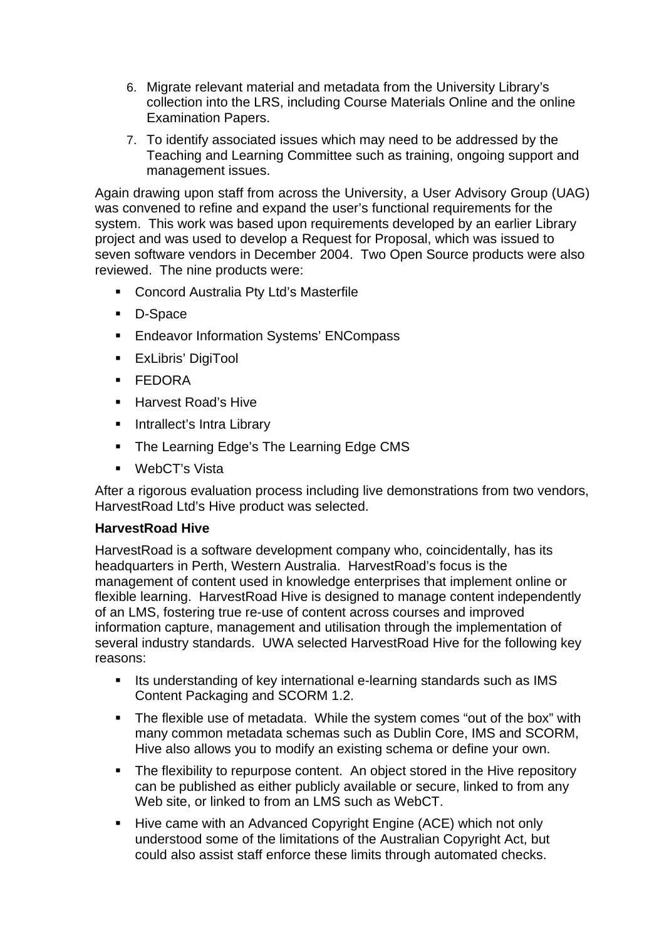- 6. Migrate relevant material and metadata from the University Library's collection into the LRS, including Course Materials Online and the online Examination Papers.
- 7. To identify associated issues which may need to be addressed by the Teaching and Learning Committee such as training, ongoing support and management issues.

Again drawing upon staff from across the University, a User Advisory Group (UAG) was convened to refine and expand the user's functional requirements for the system. This work was based upon requirements developed by an earlier Library project and was used to develop a Request for Proposal, which was issued to seven software vendors in December 2004. Two Open Source products were also reviewed. The nine products were:

- **EXECONCORD Australia Pty Ltd's Masterfile**
- **D-Space**
- **Endeavor Information Systems' ENCompass**
- **ExLibris' DigiTool**
- **FEDORA**
- **Harvest Road's Hive**
- **Intrallect's Intra Library**
- The Learning Edge's The Learning Edge CMS
- WebCT's Vista

After a rigorous evaluation process including live demonstrations from two vendors, HarvestRoad Ltd's Hive product was selected.

#### **HarvestRoad Hive**

HarvestRoad is a software development company who, coincidentally, has its headquarters in Perth, Western Australia. HarvestRoad's focus is the management of content used in knowledge enterprises that implement online or flexible learning. HarvestRoad Hive is designed to manage content independently of an LMS, fostering true re-use of content across courses and improved information capture, management and utilisation through the implementation of several industry standards. UWA selected HarvestRoad Hive for the following key reasons:

- Its understanding of key international e-learning standards such as IMS Content Packaging and SCORM 1.2.
- The flexible use of metadata. While the system comes "out of the box" with many common metadata schemas such as Dublin Core, IMS and SCORM, Hive also allows you to modify an existing schema or define your own.
- The flexibility to repurpose content. An object stored in the Hive repository can be published as either publicly available or secure, linked to from any Web site, or linked to from an LMS such as WebCT.
- Hive came with an Advanced Copyright Engine (ACE) which not only understood some of the limitations of the Australian Copyright Act, but could also assist staff enforce these limits through automated checks.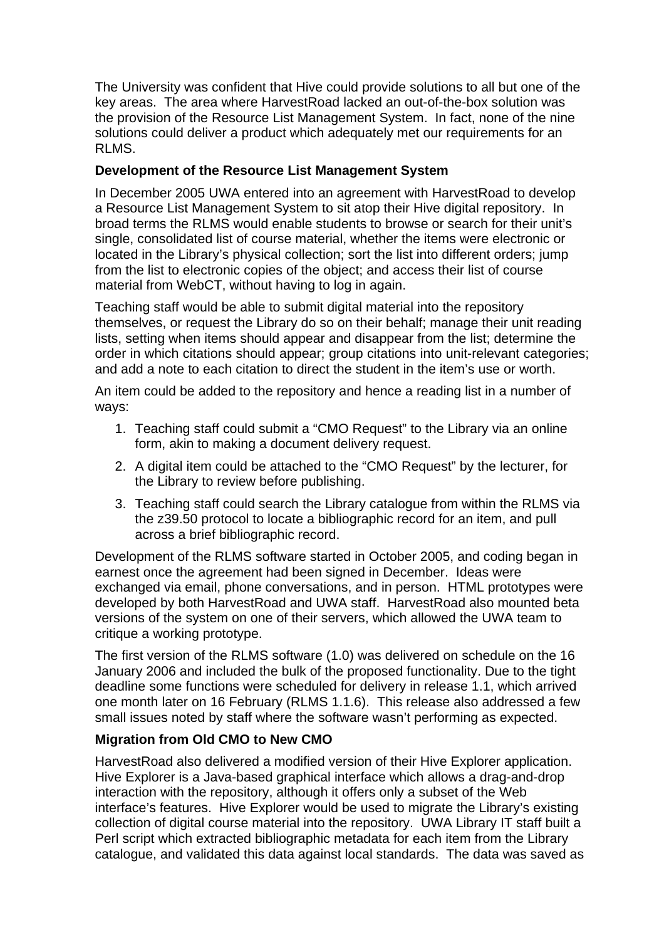The University was confident that Hive could provide solutions to all but one of the key areas. The area where HarvestRoad lacked an out-of-the-box solution was the provision of the Resource List Management System. In fact, none of the nine solutions could deliver a product which adequately met our requirements for an RLMS.

# **Development of the Resource List Management System**

In December 2005 UWA entered into an agreement with HarvestRoad to develop a Resource List Management System to sit atop their Hive digital repository. In broad terms the RLMS would enable students to browse or search for their unit's single, consolidated list of course material, whether the items were electronic or located in the Library's physical collection; sort the list into different orders; jump from the list to electronic copies of the object; and access their list of course material from WebCT, without having to log in again.

Teaching staff would be able to submit digital material into the repository themselves, or request the Library do so on their behalf; manage their unit reading lists, setting when items should appear and disappear from the list; determine the order in which citations should appear; group citations into unit-relevant categories; and add a note to each citation to direct the student in the item's use or worth.

An item could be added to the repository and hence a reading list in a number of ways:

- 1. Teaching staff could submit a "CMO Request" to the Library via an online form, akin to making a document delivery request.
- 2. A digital item could be attached to the "CMO Request" by the lecturer, for the Library to review before publishing.
- 3. Teaching staff could search the Library catalogue from within the RLMS via the z39.50 protocol to locate a bibliographic record for an item, and pull across a brief bibliographic record.

Development of the RLMS software started in October 2005, and coding began in earnest once the agreement had been signed in December. Ideas were exchanged via email, phone conversations, and in person. HTML prototypes were developed by both HarvestRoad and UWA staff. HarvestRoad also mounted beta versions of the system on one of their servers, which allowed the UWA team to critique a working prototype.

The first version of the RLMS software (1.0) was delivered on schedule on the 16 January 2006 and included the bulk of the proposed functionality. Due to the tight deadline some functions were scheduled for delivery in release 1.1, which arrived one month later on 16 February (RLMS 1.1.6). This release also addressed a few small issues noted by staff where the software wasn't performing as expected.

# **Migration from Old CMO to New CMO**

HarvestRoad also delivered a modified version of their Hive Explorer application. Hive Explorer is a Java-based graphical interface which allows a drag-and-drop interaction with the repository, although it offers only a subset of the Web interface's features. Hive Explorer would be used to migrate the Library's existing collection of digital course material into the repository. UWA Library IT staff built a Perl script which extracted bibliographic metadata for each item from the Library catalogue, and validated this data against local standards. The data was saved as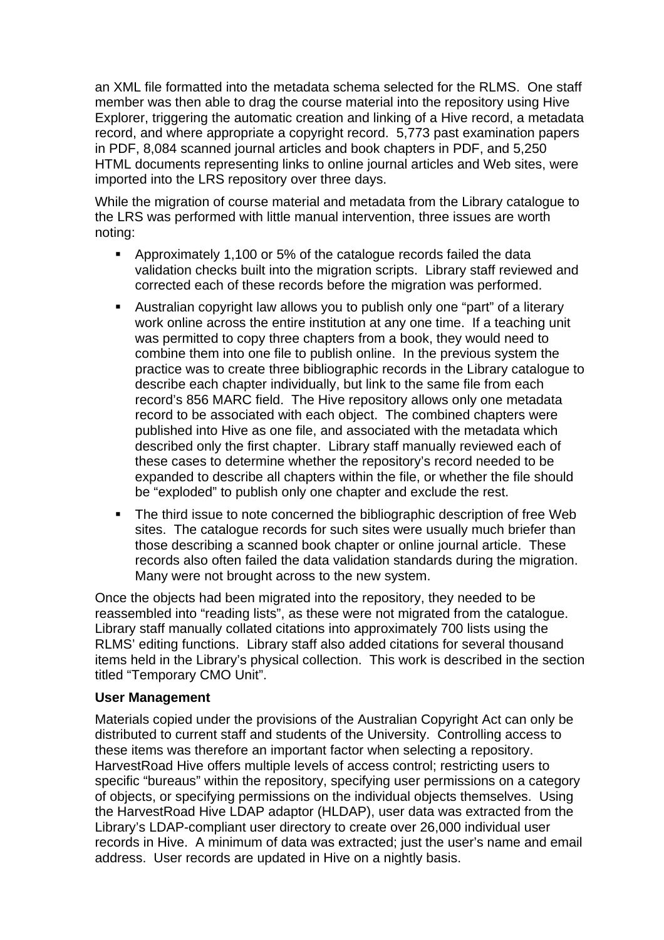an XML file formatted into the metadata schema selected for the RLMS. One staff member was then able to drag the course material into the repository using Hive Explorer, triggering the automatic creation and linking of a Hive record, a metadata record, and where appropriate a copyright record. 5,773 past examination papers in PDF, 8,084 scanned journal articles and book chapters in PDF, and 5,250 HTML documents representing links to online journal articles and Web sites, were imported into the LRS repository over three days.

While the migration of course material and metadata from the Library catalogue to the LRS was performed with little manual intervention, three issues are worth noting:

- Approximately 1,100 or 5% of the catalogue records failed the data validation checks built into the migration scripts. Library staff reviewed and corrected each of these records before the migration was performed.
- Australian copyright law allows you to publish only one "part" of a literary work online across the entire institution at any one time. If a teaching unit was permitted to copy three chapters from a book, they would need to combine them into one file to publish online. In the previous system the practice was to create three bibliographic records in the Library catalogue to describe each chapter individually, but link to the same file from each record's 856 MARC field. The Hive repository allows only one metadata record to be associated with each object. The combined chapters were published into Hive as one file, and associated with the metadata which described only the first chapter. Library staff manually reviewed each of these cases to determine whether the repository's record needed to be expanded to describe all chapters within the file, or whether the file should be "exploded" to publish only one chapter and exclude the rest.
- The third issue to note concerned the bibliographic description of free Web sites. The catalogue records for such sites were usually much briefer than those describing a scanned book chapter or online journal article. These records also often failed the data validation standards during the migration. Many were not brought across to the new system.

Once the objects had been migrated into the repository, they needed to be reassembled into "reading lists", as these were not migrated from the catalogue. Library staff manually collated citations into approximately 700 lists using the RLMS' editing functions. Library staff also added citations for several thousand items held in the Library's physical collection. This work is described in the section titled "Temporary CMO Unit".

#### **User Management**

Materials copied under the provisions of the Australian Copyright Act can only be distributed to current staff and students of the University. Controlling access to these items was therefore an important factor when selecting a repository. HarvestRoad Hive offers multiple levels of access control; restricting users to specific "bureaus" within the repository, specifying user permissions on a category of objects, or specifying permissions on the individual objects themselves. Using the HarvestRoad Hive LDAP adaptor (HLDAP), user data was extracted from the Library's LDAP-compliant user directory to create over 26,000 individual user records in Hive. A minimum of data was extracted; just the user's name and email address. User records are updated in Hive on a nightly basis.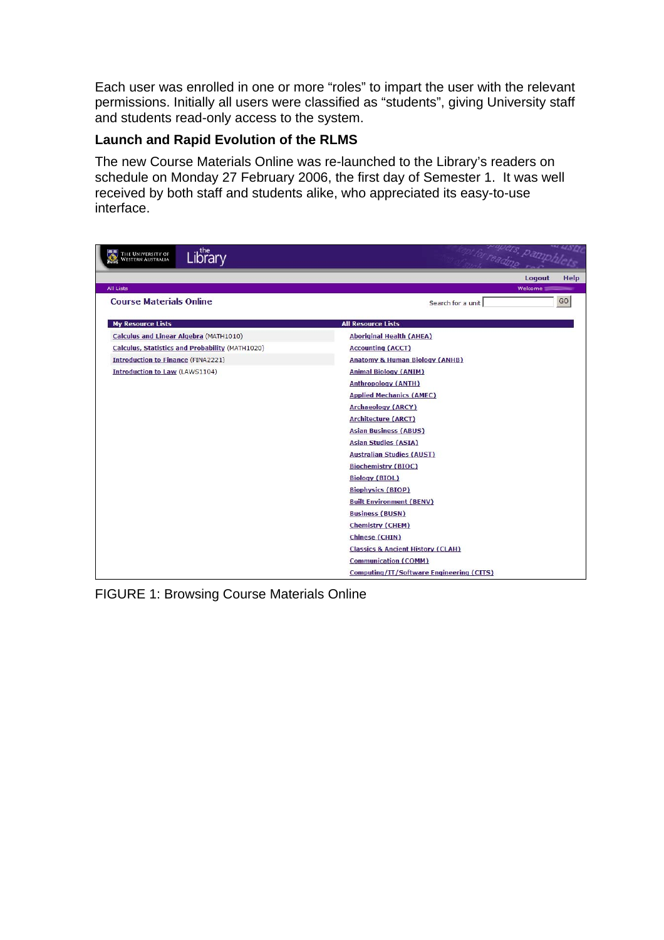Each user was enrolled in one or more "roles" to impart the user with the relevant permissions. Initially all users were classified as "students", giving University staff and students read-only access to the system.

## **Launch and Rapid Evolution of the RLMS**

The new Course Materials Online was re-launched to the Library's readers on schedule on Monday 27 February 2006, the first day of Semester 1. It was well received by both staff and students alike, who appreciated its easy-to-use interface.

| Library<br>The University of<br>Western Australia | readmo remphi                                |  |  |
|---------------------------------------------------|----------------------------------------------|--|--|
|                                                   | Logout<br>Help                               |  |  |
| <b>All Lists</b>                                  | Welcome                                      |  |  |
| <b>Course Materials Online</b>                    | GO<br>Search for a unit                      |  |  |
| <b>My Resource Lists</b>                          | <b>All Resource Lists</b>                    |  |  |
| Calculus and Linear Algebra (MATH1010)            | <b>Aboriginal Health (AHEA)</b>              |  |  |
| Calculus, Statistics and Probability (MATH1020)   | <b>Accounting (ACCT)</b>                     |  |  |
| <b>Introduction to Finance (FINA2221)</b>         | <b>Anatomy &amp; Human Biology (ANHB)</b>    |  |  |
| <b>Introduction to Law (LAWS1104)</b>             | <b>Animal Biology (ANIM)</b>                 |  |  |
|                                                   | <b>Anthropology (ANTH)</b>                   |  |  |
|                                                   | <b>Applied Mechanics (AMEC)</b>              |  |  |
|                                                   | <b>Archaeology (ARCY)</b>                    |  |  |
|                                                   | <b>Architecture (ARCT)</b>                   |  |  |
|                                                   | <b>Asian Business (ABUS)</b>                 |  |  |
|                                                   | <b>Asian Studies (ASIA)</b>                  |  |  |
|                                                   | <b>Australian Studies (AUST)</b>             |  |  |
|                                                   | <b>Biochemistry (BIOC)</b>                   |  |  |
|                                                   | <b>Biology (BIOL)</b>                        |  |  |
|                                                   | <b>Biophysics (BIOP)</b>                     |  |  |
|                                                   | <b>Built Environment (BENV)</b>              |  |  |
|                                                   | <b>Business (BUSN)</b>                       |  |  |
|                                                   | <b>Chemistry (CHEM)</b>                      |  |  |
|                                                   | Chinese (CHIN)                               |  |  |
|                                                   | <b>Classics &amp; Ancient History (CLAH)</b> |  |  |
|                                                   | <b>Communication (COMM)</b>                  |  |  |
|                                                   | Computing/IT/Software Engineering (CITS)     |  |  |

FIGURE 1: Browsing Course Materials Online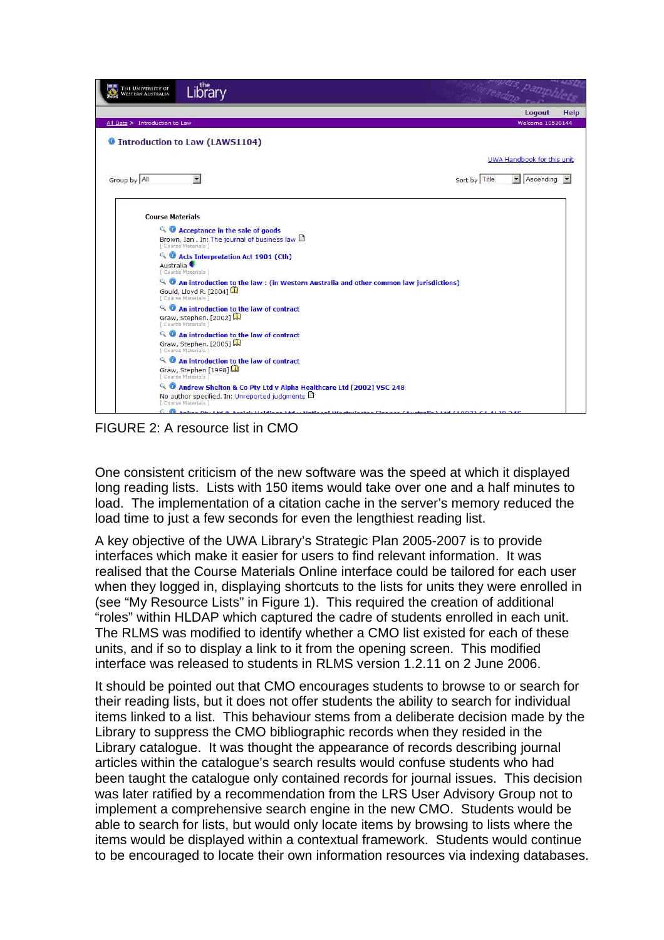

FIGURE 2: A resource list in CMO

One consistent criticism of the new software was the speed at which it displayed long reading lists. Lists with 150 items would take over one and a half minutes to load. The implementation of a citation cache in the server's memory reduced the load time to just a few seconds for even the lengthiest reading list.

A key objective of the UWA Library's Strategic Plan 2005-2007 is to provide interfaces which make it easier for users to find relevant information. It was realised that the Course Materials Online interface could be tailored for each user when they logged in, displaying shortcuts to the lists for units they were enrolled in (see "My Resource Lists" in Figure 1). This required the creation of additional "roles" within HLDAP which captured the cadre of students enrolled in each unit. The RLMS was modified to identify whether a CMO list existed for each of these units, and if so to display a link to it from the opening screen. This modified interface was released to students in RLMS version 1.2.11 on 2 June 2006.

It should be pointed out that CMO encourages students to browse to or search for their reading lists, but it does not offer students the ability to search for individual items linked to a list. This behaviour stems from a deliberate decision made by the Library to suppress the CMO bibliographic records when they resided in the Library catalogue. It was thought the appearance of records describing journal articles within the catalogue's search results would confuse students who had been taught the catalogue only contained records for journal issues. This decision was later ratified by a recommendation from the LRS User Advisory Group not to implement a comprehensive search engine in the new CMO. Students would be able to search for lists, but would only locate items by browsing to lists where the items would be displayed within a contextual framework. Students would continue to be encouraged to locate their own information resources via indexing databases.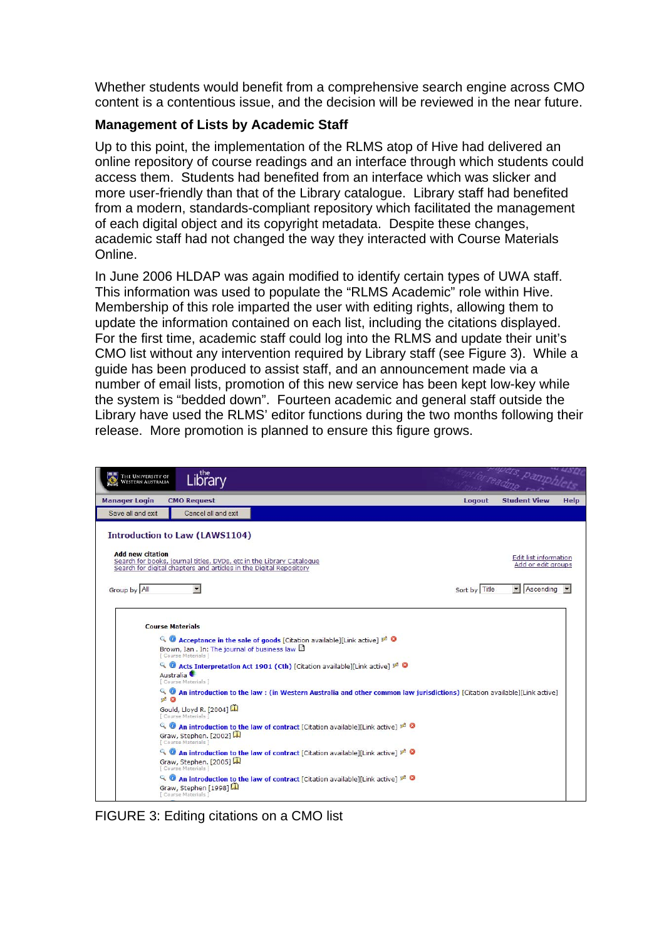Whether students would benefit from a comprehensive search engine across CMO content is a contentious issue, and the decision will be reviewed in the near future.

## **Management of Lists by Academic Staff**

Up to this point, the implementation of the RLMS atop of Hive had delivered an online repository of course readings and an interface through which students could access them. Students had benefited from an interface which was slicker and more user-friendly than that of the Library catalogue. Library staff had benefited from a modern, standards-compliant repository which facilitated the management of each digital object and its copyright metadata. Despite these changes, academic staff had not changed the way they interacted with Course Materials Online.

In June 2006 HLDAP was again modified to identify certain types of UWA staff. This information was used to populate the "RLMS Academic" role within Hive. Membership of this role imparted the user with editing rights, allowing them to update the information contained on each list, including the citations displayed. For the first time, academic staff could log into the RLMS and update their unit's CMO list without any intervention required by Library staff (see Figure 3). While a guide has been produced to assist staff, and an announcement made via a number of email lists, promotion of this new service has been kept low-key while the system is "bedded down". Fourteen academic and general staff outside the Library have used the RLMS' editor functions during the two months following their release. More promotion is planned to ensure this figure grows.

| THE UNIVERSITY OF<br>WESTERN AUSTRALIA | Library                                                                                                                                                                                                                                                                                                                                                                                                                                                                                                                                                                                                                                                                                                                                                                                                                                                                                                                                               |               | for reading resolutes                       |             |
|----------------------------------------|-------------------------------------------------------------------------------------------------------------------------------------------------------------------------------------------------------------------------------------------------------------------------------------------------------------------------------------------------------------------------------------------------------------------------------------------------------------------------------------------------------------------------------------------------------------------------------------------------------------------------------------------------------------------------------------------------------------------------------------------------------------------------------------------------------------------------------------------------------------------------------------------------------------------------------------------------------|---------------|---------------------------------------------|-------------|
| <b>Manager Login</b>                   | <b>CMO Request</b>                                                                                                                                                                                                                                                                                                                                                                                                                                                                                                                                                                                                                                                                                                                                                                                                                                                                                                                                    | Logout        | <b>Student View</b>                         | <b>Help</b> |
| Save all and exit                      | Cancel all and exit                                                                                                                                                                                                                                                                                                                                                                                                                                                                                                                                                                                                                                                                                                                                                                                                                                                                                                                                   |               |                                             |             |
|                                        | <b>Introduction to Law (LAWS1104)</b>                                                                                                                                                                                                                                                                                                                                                                                                                                                                                                                                                                                                                                                                                                                                                                                                                                                                                                                 |               |                                             |             |
| <b>Add new citation</b>                | Search for books, journal titles, DVDs, etc in the Library Catalogue<br>Search for digital chapters and articles in the Digital Repository                                                                                                                                                                                                                                                                                                                                                                                                                                                                                                                                                                                                                                                                                                                                                                                                            |               | Edit list information<br>Add or edit aroups |             |
| Group by All                           | $\blacksquare$                                                                                                                                                                                                                                                                                                                                                                                                                                                                                                                                                                                                                                                                                                                                                                                                                                                                                                                                        | Sort by Title | $\mathbf{r}$<br>Ascending                   |             |
| $Q_0$<br>20                            | <b>Course Materials</b><br>Q Acceptance in the sale of goods [Citation available][Link active] $\mathscr{P}$ Q<br>Brown, Ian . In: The journal of business law<br>[ Course Materials ]<br>Q Acts Interpretation Act 1901 (Cth) [Citation available][Link active] 2 0<br>Australia <sup>C</sup><br>[ Course Materials ]<br>An introduction to the law: (in Western Australia and other common law jurisdictions) [Citation available][Link active]<br>Gould, Lloyd R. [2004]<br>Course Materials 1<br>4 4 An introduction to the law of contract [Citation available][Link active]<br>Graw, Stephen, [2002]<br>[ Course Materials ]<br>4 <b>O</b> An introduction to the law of contract [Citation available][Link active] $\mathbb{Z}$ <b>O</b><br>Graw, Stephen. [2005]<br>[ Course Materials ]<br>4 <b>O</b> An introduction to the law of contract [Citation available][Link active] $\neq$ <b>O</b><br>Graw, Stephen [1998]<br>Course Materials 1 |               |                                             |             |

FIGURE 3: Editing citations on a CMO list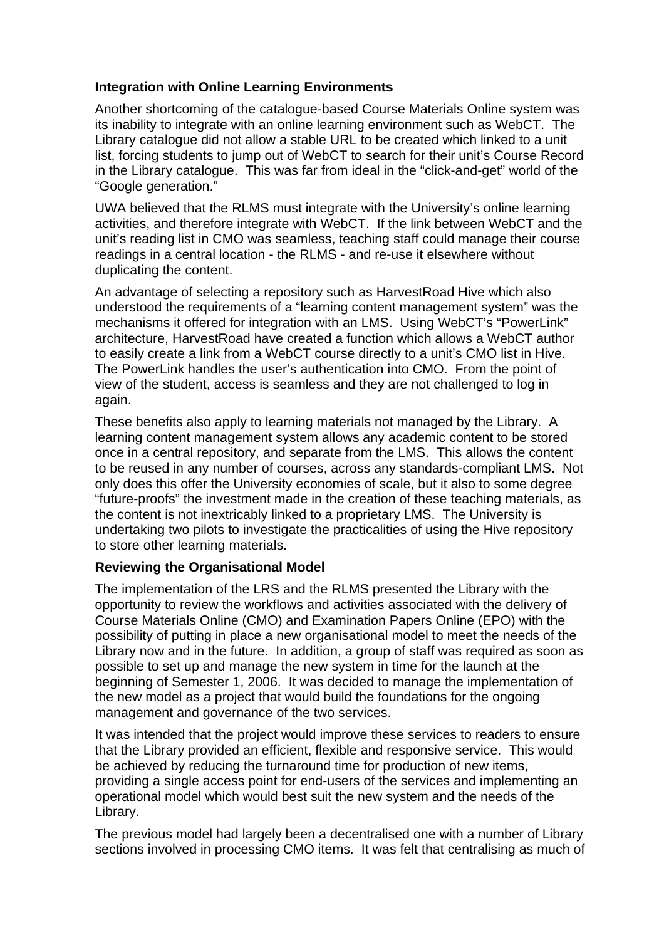## **Integration with Online Learning Environments**

Another shortcoming of the catalogue-based Course Materials Online system was its inability to integrate with an online learning environment such as WebCT. The Library catalogue did not allow a stable URL to be created which linked to a unit list, forcing students to jump out of WebCT to search for their unit's Course Record in the Library catalogue. This was far from ideal in the "click-and-get" world of the "Google generation."

UWA believed that the RLMS must integrate with the University's online learning activities, and therefore integrate with WebCT. If the link between WebCT and the unit's reading list in CMO was seamless, teaching staff could manage their course readings in a central location - the RLMS - and re-use it elsewhere without duplicating the content.

An advantage of selecting a repository such as HarvestRoad Hive which also understood the requirements of a "learning content management system" was the mechanisms it offered for integration with an LMS. Using WebCT's "PowerLink" architecture, HarvestRoad have created a function which allows a WebCT author to easily create a link from a WebCT course directly to a unit's CMO list in Hive. The PowerLink handles the user's authentication into CMO. From the point of view of the student, access is seamless and they are not challenged to log in again.

These benefits also apply to learning materials not managed by the Library. A learning content management system allows any academic content to be stored once in a central repository, and separate from the LMS. This allows the content to be reused in any number of courses, across any standards-compliant LMS. Not only does this offer the University economies of scale, but it also to some degree "future-proofs" the investment made in the creation of these teaching materials, as the content is not inextricably linked to a proprietary LMS. The University is undertaking two pilots to investigate the practicalities of using the Hive repository to store other learning materials.

#### **Reviewing the Organisational Model**

The implementation of the LRS and the RLMS presented the Library with the opportunity to review the workflows and activities associated with the delivery of Course Materials Online (CMO) and Examination Papers Online (EPO) with the possibility of putting in place a new organisational model to meet the needs of the Library now and in the future. In addition, a group of staff was required as soon as possible to set up and manage the new system in time for the launch at the beginning of Semester 1, 2006. It was decided to manage the implementation of the new model as a project that would build the foundations for the ongoing management and governance of the two services.

It was intended that the project would improve these services to readers to ensure that the Library provided an efficient, flexible and responsive service. This would be achieved by reducing the turnaround time for production of new items, providing a single access point for end-users of the services and implementing an operational model which would best suit the new system and the needs of the Library.

The previous model had largely been a decentralised one with a number of Library sections involved in processing CMO items. It was felt that centralising as much of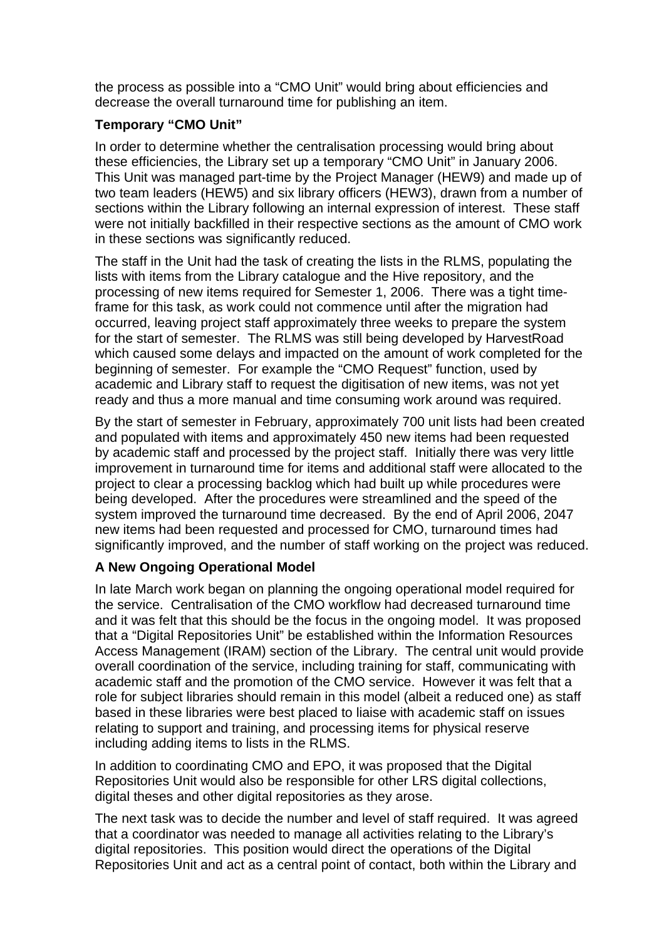the process as possible into a "CMO Unit" would bring about efficiencies and decrease the overall turnaround time for publishing an item.

# **Temporary "CMO Unit"**

In order to determine whether the centralisation processing would bring about these efficiencies, the Library set up a temporary "CMO Unit" in January 2006. This Unit was managed part-time by the Project Manager (HEW9) and made up of two team leaders (HEW5) and six library officers (HEW3), drawn from a number of sections within the Library following an internal expression of interest. These staff were not initially backfilled in their respective sections as the amount of CMO work in these sections was significantly reduced.

The staff in the Unit had the task of creating the lists in the RLMS, populating the lists with items from the Library catalogue and the Hive repository, and the processing of new items required for Semester 1, 2006. There was a tight timeframe for this task, as work could not commence until after the migration had occurred, leaving project staff approximately three weeks to prepare the system for the start of semester. The RLMS was still being developed by HarvestRoad which caused some delays and impacted on the amount of work completed for the beginning of semester. For example the "CMO Request" function, used by academic and Library staff to request the digitisation of new items, was not yet ready and thus a more manual and time consuming work around was required.

By the start of semester in February, approximately 700 unit lists had been created and populated with items and approximately 450 new items had been requested by academic staff and processed by the project staff. Initially there was very little improvement in turnaround time for items and additional staff were allocated to the project to clear a processing backlog which had built up while procedures were being developed. After the procedures were streamlined and the speed of the system improved the turnaround time decreased. By the end of April 2006, 2047 new items had been requested and processed for CMO, turnaround times had significantly improved, and the number of staff working on the project was reduced.

# **A New Ongoing Operational Model**

In late March work began on planning the ongoing operational model required for the service. Centralisation of the CMO workflow had decreased turnaround time and it was felt that this should be the focus in the ongoing model. It was proposed that a "Digital Repositories Unit" be established within the Information Resources Access Management (IRAM) section of the Library. The central unit would provide overall coordination of the service, including training for staff, communicating with academic staff and the promotion of the CMO service. However it was felt that a role for subject libraries should remain in this model (albeit a reduced one) as staff based in these libraries were best placed to liaise with academic staff on issues relating to support and training, and processing items for physical reserve including adding items to lists in the RLMS.

In addition to coordinating CMO and EPO, it was proposed that the Digital Repositories Unit would also be responsible for other LRS digital collections, digital theses and other digital repositories as they arose.

The next task was to decide the number and level of staff required. It was agreed that a coordinator was needed to manage all activities relating to the Library's digital repositories. This position would direct the operations of the Digital Repositories Unit and act as a central point of contact, both within the Library and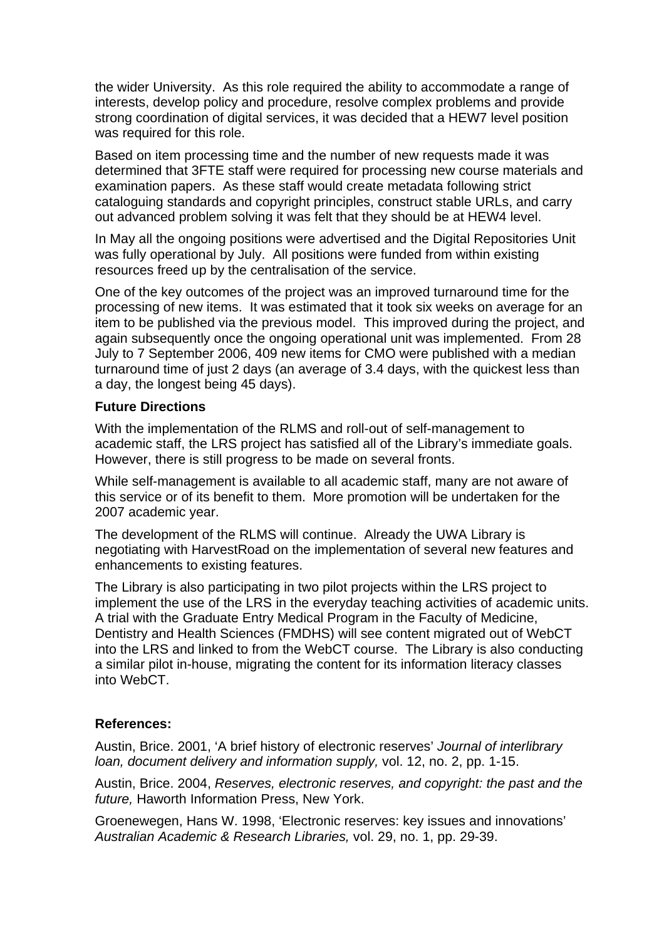the wider University. As this role required the ability to accommodate a range of interests, develop policy and procedure, resolve complex problems and provide strong coordination of digital services, it was decided that a HEW7 level position was required for this role.

Based on item processing time and the number of new requests made it was determined that 3FTE staff were required for processing new course materials and examination papers. As these staff would create metadata following strict cataloguing standards and copyright principles, construct stable URLs, and carry out advanced problem solving it was felt that they should be at HEW4 level.

In May all the ongoing positions were advertised and the Digital Repositories Unit was fully operational by July. All positions were funded from within existing resources freed up by the centralisation of the service.

One of the key outcomes of the project was an improved turnaround time for the processing of new items. It was estimated that it took six weeks on average for an item to be published via the previous model. This improved during the project, and again subsequently once the ongoing operational unit was implemented. From 28 July to 7 September 2006, 409 new items for CMO were published with a median turnaround time of just 2 days (an average of 3.4 days, with the quickest less than a day, the longest being 45 days).

#### **Future Directions**

With the implementation of the RLMS and roll-out of self-management to academic staff, the LRS project has satisfied all of the Library's immediate goals. However, there is still progress to be made on several fronts.

While self-management is available to all academic staff, many are not aware of this service or of its benefit to them. More promotion will be undertaken for the 2007 academic year.

The development of the RLMS will continue. Already the UWA Library is negotiating with HarvestRoad on the implementation of several new features and enhancements to existing features.

The Library is also participating in two pilot projects within the LRS project to implement the use of the LRS in the everyday teaching activities of academic units. A trial with the Graduate Entry Medical Program in the Faculty of Medicine, Dentistry and Health Sciences (FMDHS) will see content migrated out of WebCT into the LRS and linked to from the WebCT course. The Library is also conducting a similar pilot in-house, migrating the content for its information literacy classes into WebCT.

#### **References:**

Austin, Brice. 2001, 'A brief history of electronic reserves' *Journal of interlibrary loan, document delivery and information supply,* vol. 12, no. 2, pp. 1-15.

Austin, Brice. 2004, *Reserves, electronic reserves, and copyright: the past and the future,* Haworth Information Press, New York.

Groenewegen, Hans W. 1998, 'Electronic reserves: key issues and innovations' *Australian Academic & Research Libraries,* vol. 29, no. 1, pp. 29-39.